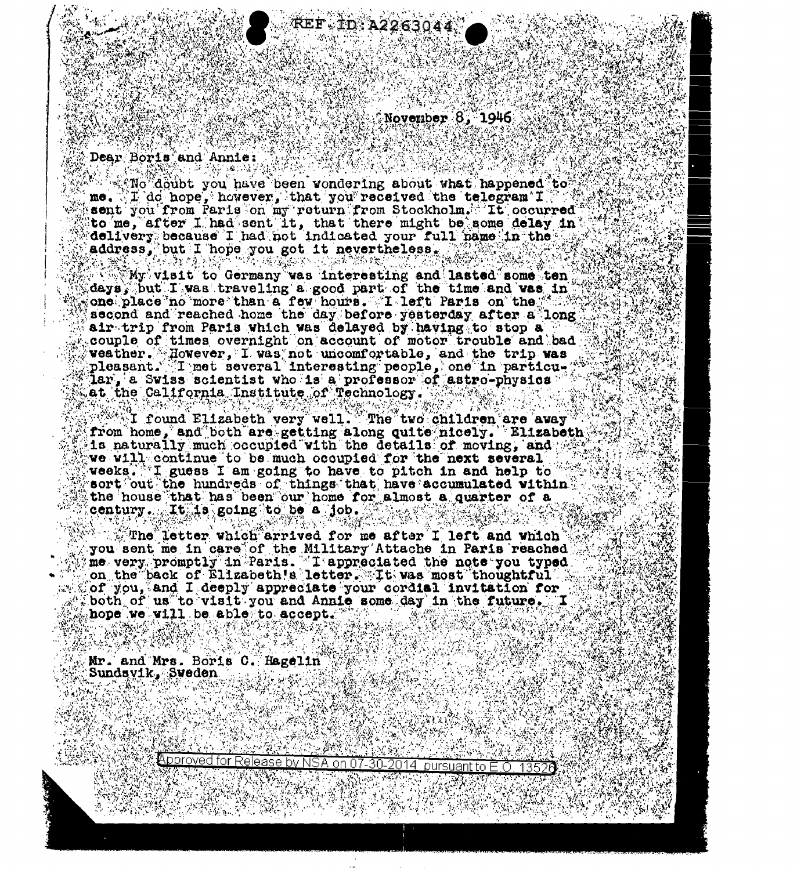$\sim$  November  $8.1946$ 

2263044

## Dear Boris and Annie:

We doubt you have been wondering about what happened to me. If do hope, however, that you received the telegram  $\mathtt{T} \in \mathbb{R}$ sent you from Paris on my return from Stockholm. It occurred to me, after I had sent it, that there might be some delay in delivery because I had not indicated your full hame in the address, but I hope you got it nevertheless.

计微编数字 计调整路线

 $M_N$  visit to Germany was interesting and lasted some ten  $\mathbb C$ days, but I was traveling a good part of the time and was in cone place no more than a few hours. I left Paris on the second and reached home the day before yesterday after a long air trip from Paris which was delayed by having to stop a couple of times overnight on account of motor trouble and bad weather. However, I was not uncomfortable, and the trip was pleasant. I met several interesting people, one in particular, a Swiss scientist who is a professor of astro-physics. at the California Institute of Technology.

 $\mathbb{C}^{\mathbb{Z}^n}$ I found Elizabeth very well. The two children are away from home, and both are getting along quite nicely. Elizabeth is naturally much occupied with the details of moving, and the we will continue to be much occupied for the next several weeks. I guess I am going to have to pitch in and help to sort out the hundreds of things that have accumulated within the house that has been our home for almost a quarter of a century. It is going to be a job.

 $\mathbb{Z}$  The letter which arrived for me after I left and which  $\mathbb{Z}$ you sent me in care of the Military Attache in Paris reached me very promptly in Paris. I appreciated the note you typed. on the back of Elizabeth's letter. It was most thoughtful of you, and I deeply appreciate your cordial invitation for both of us to visit you and Annie some day in the future. I hope we will be able to accept.

Mr. and Mrs. Boris C. Hagelin Sundsyik, Sweden

Approved for Release by NSA on 07-30-